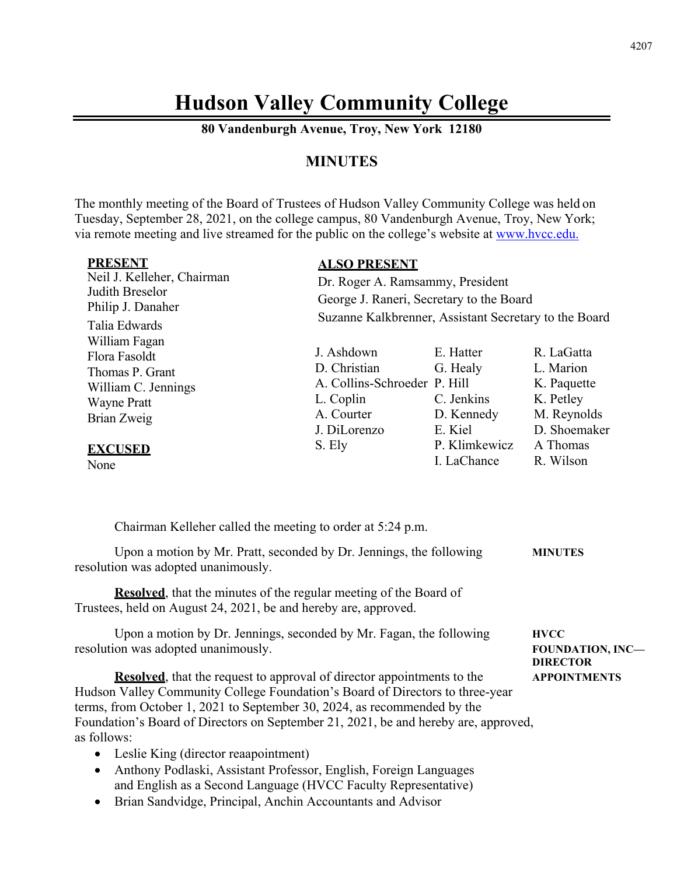# **Hudson Valley Community College**

**80 Vandenburgh Avenue, Troy, New York 12180** 

# **MINUTES**

The monthly meeting of the Board of Trustees of Hudson Valley Community College was held on Tuesday, September 28, 2021, on the college campus, 80 Vandenburgh Avenue, Troy, New York; via remote meeting and live streamed for the public on the college's website at www.hvcc.edu.

| <b>PRESENT</b>             | <b>ALSO PRESENT</b>                                                                               |               |              |  |
|----------------------------|---------------------------------------------------------------------------------------------------|---------------|--------------|--|
| Neil J. Kelleher, Chairman | Dr. Roger A. Ramsammy, President                                                                  |               |              |  |
| Judith Breselor            | George J. Raneri, Secretary to the Board<br>Suzanne Kalkbrenner, Assistant Secretary to the Board |               |              |  |
| Philip J. Danaher          |                                                                                                   |               |              |  |
| Talia Edwards              |                                                                                                   |               |              |  |
| William Fagan              |                                                                                                   |               |              |  |
| Flora Fasoldt              | J. Ashdown                                                                                        | E. Hatter     | R. LaGatta   |  |
| Thomas P. Grant            | D. Christian                                                                                      | G. Healy      | L. Marion    |  |
| William C. Jennings        | A. Collins-Schroeder P. Hill                                                                      |               | K. Paquette  |  |
| <b>Wayne Pratt</b>         | L. Coplin                                                                                         | C. Jenkins    | K. Petley    |  |
| Brian Zweig                | A. Courter                                                                                        | D. Kennedy    | M. Reynolds  |  |
|                            | J. DiLorenzo                                                                                      | E. Kiel       | D. Shoemaker |  |
| <b>EXCUSED</b>             | S. Ely                                                                                            | P. Klimkewicz | A Thomas     |  |
| None                       |                                                                                                   | I. LaChance   | R. Wilson    |  |

Chairman Kelleher called the meeting to order at 5:24 p.m.

Upon a motion by Mr. Pratt, seconded by Dr. Jennings, the following **MINUTES**  resolution was adopted unanimously.

*DIRECTOR* 

**Resolved**, that the minutes of the regular meeting of the Board of Trustees, held on August 24, 2021, be and hereby are, approved.

Upon a motion by Dr. Jennings, seconded by Mr. Fagan, the following **HVCC** resolution was adopted unanimously. **FOUNDATION, INC** 

**Resolved**, that the request to approval of director appointments to the **APPOINTMENTS** Hudson Valley Community College Foundation's Board of Directors to three-year terms, from October 1, 2021 to September 30, 2024, as recommended by the Foundation's Board of Directors on September 21, 2021, be and hereby are, approved, as follows:

- Leslie King (director reaapointment)
- Anthony Podlaski, Assistant Professor, English, Foreign Languages and English as a Second Language (HVCC Faculty Representative)
- Brian Sandvidge, Principal, Anchin Accountants and Advisor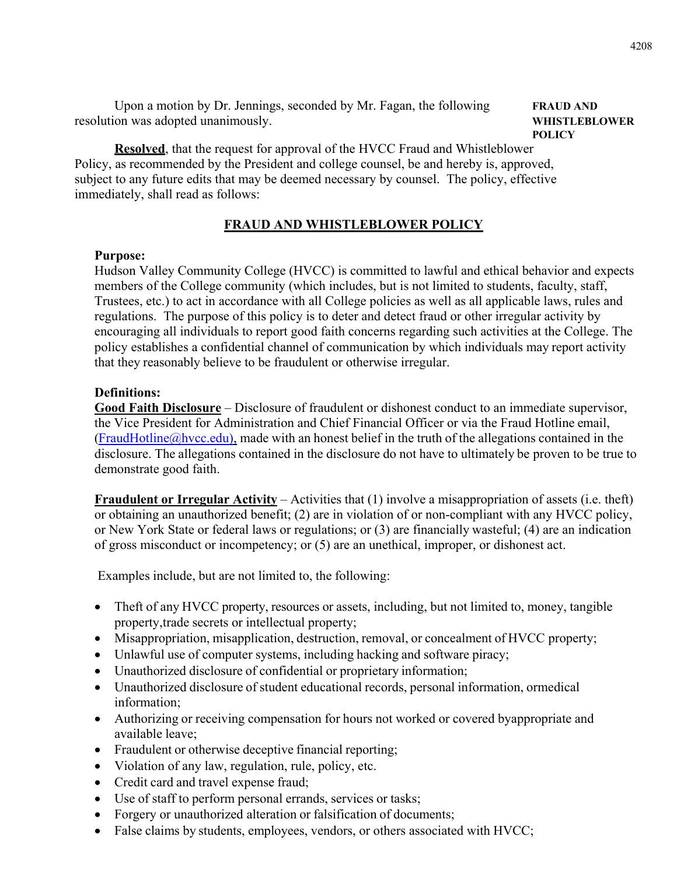Upon a motion by Dr. Jennings, seconded by Mr. Fagan, the following **FRAUD AND**  resolution was adopted unanimously. **WHISTLEBLOWER**

# **POLICY**

**Resolved**, that the request for approval of the HVCC Fraud and Whistleblower Policy, as recommended by the President and college counsel, be and hereby is, approved, subject to any future edits that may be deemed necessary by counsel. The policy, effective immediately, shall read as follows:

# **FRAUD AND WHISTLEBLOWER POLICY**

#### **Purpose:**

Hudson Valley Community College (HVCC) is committed to lawful and ethical behavior and expects members of the College community (which includes, but is not limited to students, faculty, staff, Trustees, etc.) to act in accordance with all College policies as well as all applicable laws, rules and regulations. The purpose of this policy is to deter and detect fraud or other irregular activity by encouraging all individuals to report good faith concerns regarding such activities at the College. The policy establishes a confidential channel of communication by which individuals may report activity that they reasonably believe to be fraudulent or otherwise irregular.

#### **Definitions:**

**Good Faith Disclosure** – Disclosure of fraudulent or dishonest conduct to an immediate supervisor, the Vice President for Administration and Chief Financial Officer or via the Fraud Hotline email,  $(FraudHotline@hvec.edu),$  made with an honest belief in the truth of the allegations contained in the disclosure. The allegations contained in the disclosure do not have to ultimately be proven to be true to demonstrate good faith.

**Fraudulent or Irregular Activity** – Activities that (1) involve a misappropriation of assets (i.e. theft) or obtaining an unauthorized benefit; (2) are in violation of or non-compliant with any HVCC policy, or New York State or federal laws or regulations; or (3) are financially wasteful; (4) are an indication of gross misconduct or incompetency; or (5) are an unethical, improper, or dishonest act.

Examples include, but are not limited to, the following:

- Theft of any HVCC property, resources or assets, including, but not limited to, money, tangible property, trade secrets or intellectual property;
- Misappropriation, misapplication, destruction, removal, or concealment of HVCC property;
- Unlawful use of computer systems, including hacking and software piracy;
- Unauthorized disclosure of confidential or proprietary information;
- Unauthorized disclosure of student educational records, personal information, or medical information;
- Authorizing or receiving compensation for hours not worked or covered by appropriate and available leave;
- Fraudulent or otherwise deceptive financial reporting;
- Violation of any law, regulation, rule, policy, etc.
- Credit card and travel expense fraud;
- Use of staff to perform personal errands, services or tasks;
- Forgery or unauthorized alteration or falsification of documents;
- False claims by students, employees, vendors, or others associated with HVCC;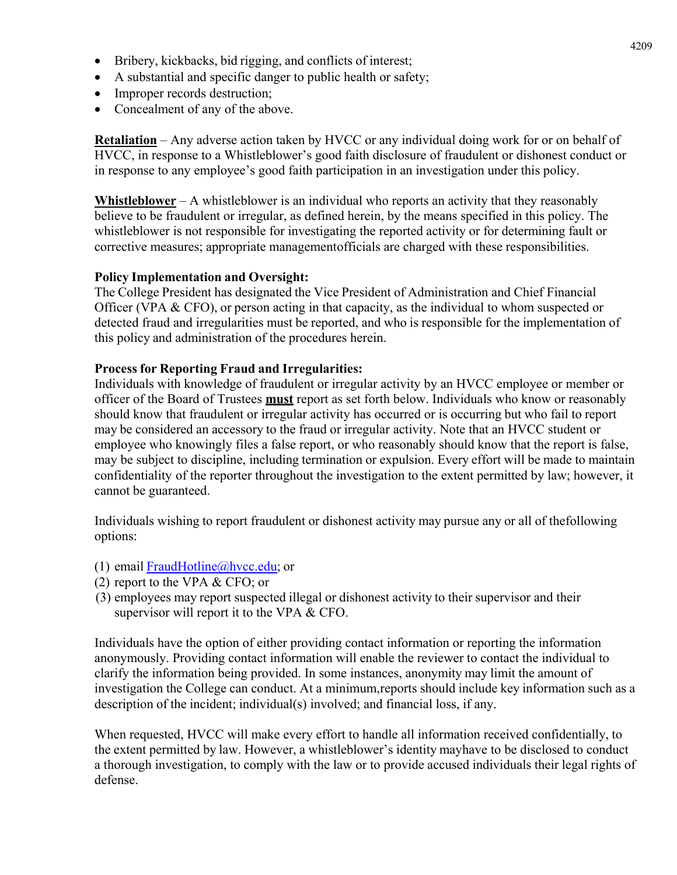- Bribery, kickbacks, bid rigging, and conflicts of interest;
- A substantial and specific danger to public health or safety;
- Improper records destruction;
- Concealment of any of the above.

**Retaliation** – Any adverse action taken by HVCC or any individual doing work for or on behalf of HVCC, in response to a Whistleblower's good faith disclosure of fraudulent or dishonest conduct or in response to any employee's good faith participation in an investigation under this policy.

**Whistleblower** – A whistleblower is an individual who reports an activity that they reasonably believe to be fraudulent or irregular, as defined herein, by the means specified in this policy. The whistleblower is not responsible for investigating the reported activity or for determining fault or corrective measures; appropriate management of ficials are charged with these responsibilities.

#### **Policy Implementation and Oversight:**

The College President has designated the Vice President of Administration and Chief Financial Officer (VPA & CFO), or person acting in that capacity, as the individual to whom suspected or detected fraud and irregularities must be reported, and who is responsible for the implementation of this policy and administration of the procedures herein.

#### **Process for Reporting Fraud and Irregularities:**

Individuals with knowledge of fraudulent or irregular activity by an HVCC employee or member or officer of the Board of Trustees **must** report as set forth below. Individuals who know or reasonably should know that fraudulent or irregular activity has occurred or is occurring but who fail to report may be considered an accessory to the fraud or irregular activity. Note that an HVCC student or employee who knowingly files a false report, or who reasonably should know that the report is false, may be subject to discipline, including termination or expulsion. Every effort will be made to maintain confidentiality of the reporter throughout the investigation to the extent permitted by law; however, it cannot be guaranteed.

Individuals wishing to report fraudulent or dishonest activity may pursue any or all of the following options:

- (1) email FraudHotline@hvcc.edu; or
- (2) report to the VPA & CFO; or
- (3) employees may report suspected illegal or dishonest activity to their supervisor and their supervisor will report it to the VPA & CFO.

Individuals have the option of either providing contact information or reporting the information anonymously. Providing contact information will enable the reviewer to contact the individual to clarify the information being provided. In some instances, anonymity may limit the amount of investigation the College can conduct. At a minimum, reports should include key information such as a description of the incident; individual(s) involved; and financial loss, if any.

When requested, HVCC will make every effort to handle all information received confidentially, to the extent permitted by law. However, a whistleblower's identity may have to be disclosed to conduct a thorough investigation, to comply with the law or to provide accused individuals their legal rights of defense.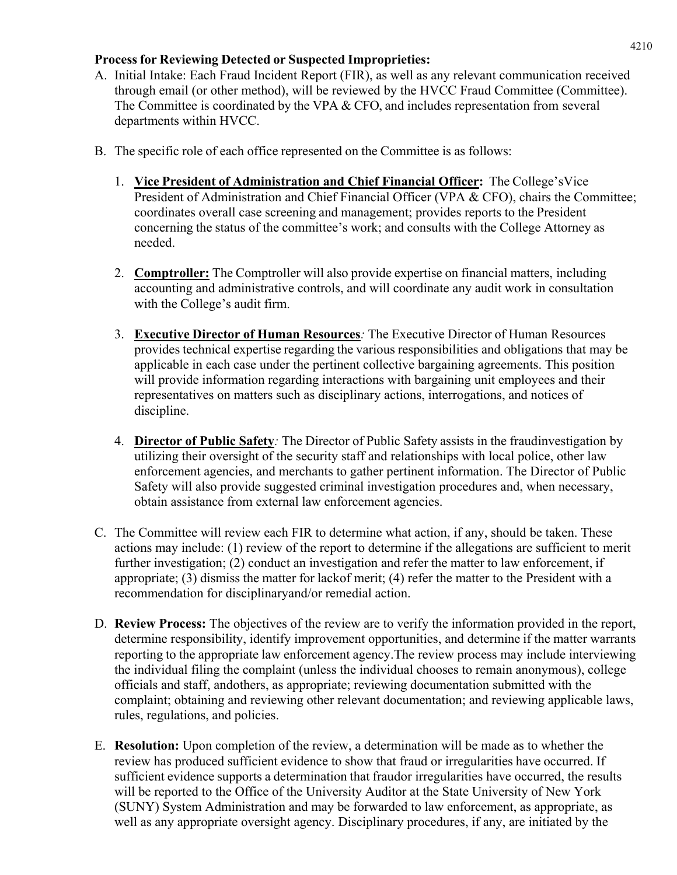# **Process for Reviewing Detected or Suspected Improprieties:**

- A. Initial Intake: Each Fraud Incident Report (FIR), as well as any relevant communication received through email (or other method), will be reviewed by the HVCC Fraud Committee (Committee). The Committee is coordinated by the VPA & CFO, and includes representation from several departments within HVCC.
- B. The specific role of each office represented on the Committee is as follows:
	- 1. **Vice President of Administration and Chief Financial Officer:**The College's Vice President of Administration and Chief Financial Officer (VPA & CFO), chairs the Committee; coordinates overall case screening and management; provides reports to the President concerning the status of the committee's work; and consults with the College Attorney as needed.
	- 2. **Comptroller:** The Comptroller will also provide expertise on financial matters, including accounting and administrative controls, and will coordinate any audit work in consultation with the College's audit firm.
	- 3. **Executive Director of Human Resources***:* The Executive Director of Human Resources provides technical expertise regarding the various responsibilities and obligations that may be applicable in each case under the pertinent collective bargaining agreements. This position will provide information regarding interactions with bargaining unit employees and their representatives on matters such as disciplinary actions, interrogations, and notices of discipline.
	- 4. **Director of Public Safety**: The Director of Public Safety assists in the fraudinvestigation by utilizing their oversight of the security staff and relationships with local police, other law enforcement agencies, and merchants to gather pertinent information. The Director of Public Safety will also provide suggested criminal investigation procedures and, when necessary, obtain assistance from external law enforcement agencies.
- C. The Committee will review each FIR to determine what action, if any, should be taken. These actions may include: (1) review of the report to determine if the allegations are sufficient to merit further investigation; (2) conduct an investigation and refer the matter to law enforcement, if appropriate; (3) dismiss the matter for lack of merit; (4) refer the matter to the President with a recommendation for disciplinary and/or remedial action.
- D. **Review Process:** The objectives of the review are to verify the information provided in the report, determine responsibility, identify improvement opportunities, and determine if the matter warrants reporting to the appropriate law enforcement agency. The review process may include interviewing the individual filing the complaint (unless the individual chooses to remain anonymous), college officials and staff, and others, as appropriate; reviewing documentation submitted with the complaint; obtaining and reviewing other relevant documentation; and reviewing applicable laws, rules, regulations, and policies.
- E. **Resolution:** Upon completion of the review, a determination will be made as to whether the review has produced sufficient evidence to show that fraud or irregularities have occurred. If sufficient evidence supports a determination that fraudor irregularities have occurred, the results will be reported to the Office of the University Auditor at the State University of New York (SUNY) System Administration and may be forwarded to law enforcement, as appropriate, as well as any appropriate oversight agency. Disciplinary procedures, if any, are initiated by the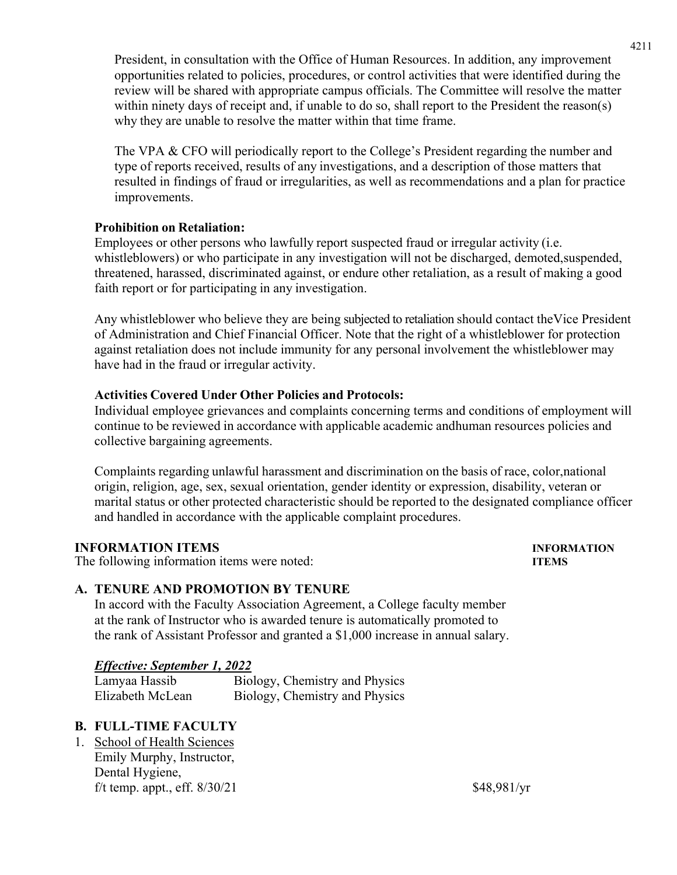President, in consultation with the Office of Human Resources. In addition, any improvement opportunities related to policies, procedures, or control activities that were identified during the review will be shared with appropriate campus officials. The Committee will resolve the matter within ninety days of receipt and, if unable to do so, shall report to the President the reason(s) why they are unable to resolve the matter within that time frame.

The VPA & CFO will periodically report to the College's President regarding the number and type of reports received, results of any investigations, and a description of those matters that resulted in findings of fraud or irregularities, as well as recommendations and a plan for practice improvements.

# **Prohibition on Retaliation:**

Employees or other persons who lawfully report suspected fraud or irregular activity (i.e. whistleblowers) or who participate in any investigation will not be discharged, demoted, suspended, threatened, harassed, discriminated against, or endure other retaliation, as a result of making a good faith report or for participating in any investigation.

Any whistleblower who believe they are being subjected to retaliation should contact the Vice President of Administration and Chief Financial Officer. Note that the right of a whistleblower for protection against retaliation does not include immunity for any personal involvement the whistleblower may have had in the fraud or irregular activity.

# **Activities Covered Under Other Policies and Protocols:**

Individual employee grievances and complaints concerning terms and conditions of employment will continue to be reviewed in accordance with applicable academic and human resources policies and collective bargaining agreements.

Complaints regarding unlawful harassment and discrimination on the basis of race, color, national origin, religion, age, sex, sexual orientation, gender identity or expression, disability, veteran or marital status or other protected characteristic should be reported to the designated compliance officer and handled in accordance with the applicable complaint procedures.

# **INFORMATION ITEMS INFORMATION**

The following information items were noted: **ITEMS** 

# **A. TENURE AND PROMOTION BY TENURE**

In accord with the Faculty Association Agreement, a College faculty member at the rank of Instructor who is awarded tenure is automatically promoted to the rank of Assistant Professor and granted a \$1,000 increase in annual salary.

# *Effective: September 1, 2022*

 Lamyaa Hassib Biology, Chemistry and Physics Elizabeth McLean Biology, Chemistry and Physics

# **B. FULL-TIME FACULTY**

1. School of Health Sciences Emily Murphy, Instructor, Dental Hygiene, f/t temp. appt., eff.  $8/30/21$  \$48,981/yr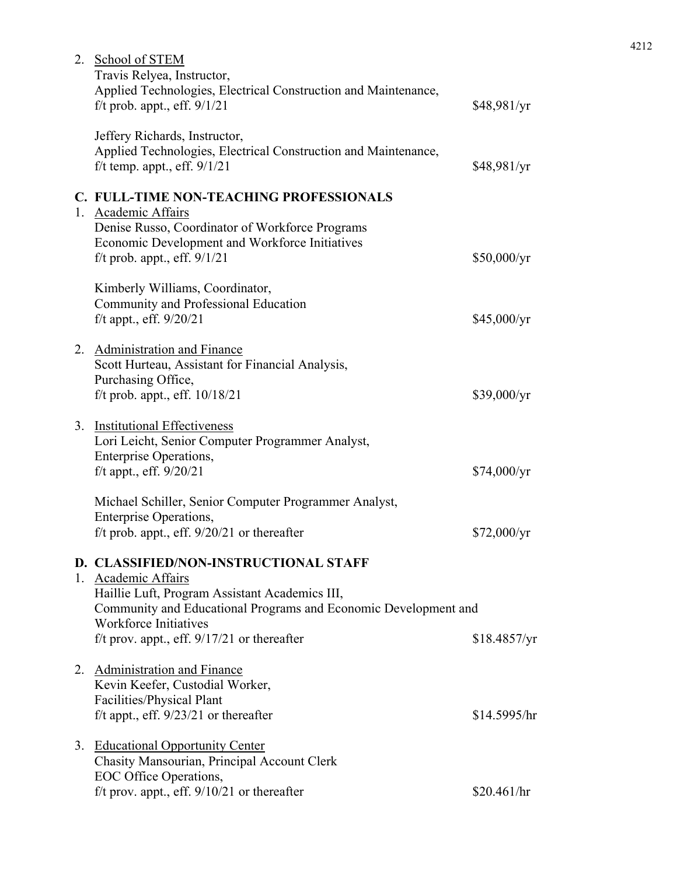| 2. School of STEM<br>Travis Relyea, Instructor,                                                                                                                                                                                                                    |              |
|--------------------------------------------------------------------------------------------------------------------------------------------------------------------------------------------------------------------------------------------------------------------|--------------|
| Applied Technologies, Electrical Construction and Maintenance,<br>f/t prob. appt., eff. $9/1/21$                                                                                                                                                                   | \$48,981/yr  |
| Jeffery Richards, Instructor,<br>Applied Technologies, Electrical Construction and Maintenance,<br>f/t temp. appt., eff. $9/1/21$                                                                                                                                  | \$48,981/yr  |
| C. FULL-TIME NON-TEACHING PROFESSIONALS                                                                                                                                                                                                                            |              |
| 1. Academic Affairs<br>Denise Russo, Coordinator of Workforce Programs<br>Economic Development and Workforce Initiatives<br>f/t prob. appt., eff. $9/1/21$                                                                                                         | \$50,000/yr  |
| Kimberly Williams, Coordinator,<br>Community and Professional Education<br>f/t appt., eff. $9/20/21$                                                                                                                                                               | \$45,000/yr  |
| 2. Administration and Finance<br>Scott Hurteau, Assistant for Financial Analysis,<br>Purchasing Office,<br>f/t prob. appt., eff. $10/18/21$                                                                                                                        | \$39,000/yr  |
| 3. Institutional Effectiveness<br>Lori Leicht, Senior Computer Programmer Analyst,<br><b>Enterprise Operations,</b><br>f/t appt., eff. $9/20/21$                                                                                                                   | \$74,000/yr  |
| Michael Schiller, Senior Computer Programmer Analyst,<br>Enterprise Operations,<br>f/t prob. appt., eff. $9/20/21$ or thereafter                                                                                                                                   | \$72,000/yr  |
| D. CLASSIFIED/NON-INSTRUCTIONAL STAFF<br>1. Academic Affairs<br>Haillie Luft, Program Assistant Academics III,<br>Community and Educational Programs and Economic Development and<br><b>Workforce Initiatives</b><br>f/t prov. appt., eff. $9/17/21$ or thereafter | \$18.4857/yr |
| 2. Administration and Finance<br>Kevin Keefer, Custodial Worker,<br>Facilities/Physical Plant<br>f/t appt., eff. $9/23/21$ or thereafter                                                                                                                           | \$14.5995/hr |
| 3. Educational Opportunity Center<br>Chasity Mansourian, Principal Account Clerk<br>EOC Office Operations,<br>f/t prov. appt., eff. 9/10/21 or thereafter                                                                                                          | \$20.461/hr  |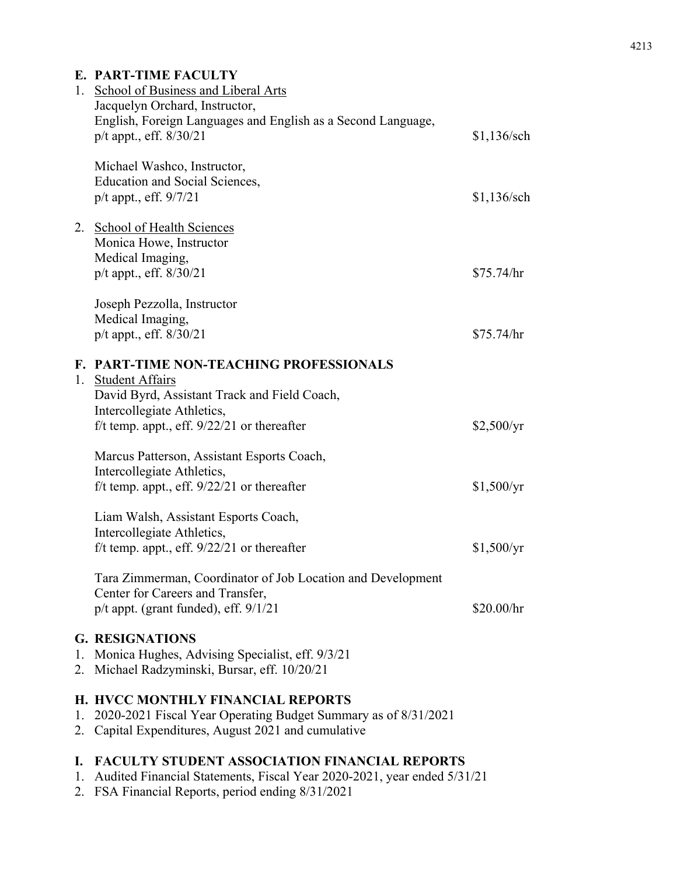# **E. PART-TIME FACULTY**

|          | 1. School of Business and Liberal Arts<br>Jacquelyn Orchard, Instructor,                                                                                |               |
|----------|---------------------------------------------------------------------------------------------------------------------------------------------------------|---------------|
|          | English, Foreign Languages and English as a Second Language,<br>p/t appt., eff. 8/30/21                                                                 | \$1,136/sch   |
|          | Michael Washco, Instructor,<br><b>Education and Social Sciences,</b><br>p/t appt., eff. 9/7/21                                                          | $$1,136$ /sch |
|          | 2. School of Health Sciences<br>Monica Howe, Instructor<br>Medical Imaging,                                                                             |               |
|          | p/t appt., eff. 8/30/21                                                                                                                                 | \$75.74/hr    |
|          | Joseph Pezzolla, Instructor                                                                                                                             |               |
|          | Medical Imaging,<br>p/t appt., eff. 8/30/21                                                                                                             | \$75.74/hr    |
|          | F. PART-TIME NON-TEACHING PROFESSIONALS<br>1. Student Affairs<br>David Byrd, Assistant Track and Field Coach,                                           |               |
|          | Intercollegiate Athletics,<br>f/t temp. appt., eff. $9/22/21$ or thereafter                                                                             | \$2,500/yr    |
|          | Marcus Patterson, Assistant Esports Coach,<br>Intercollegiate Athletics,<br>f/t temp. appt., eff. $9/22/21$ or thereafter                               | \$1,500/yr    |
|          |                                                                                                                                                         |               |
|          | Liam Walsh, Assistant Esports Coach,<br>Intercollegiate Athletics,                                                                                      |               |
|          | f/t temp. appt., eff. $9/22/21$ or thereafter                                                                                                           | \$1,500/yr    |
|          | Tara Zimmerman, Coordinator of Job Location and Development<br>Center for Careers and Transfer,<br>$p/t$ appt. (grant funded), eff. $9/1/21$            | \$20.00/hr    |
| 1.<br>2. | <b>G. RESIGNATIONS</b><br>Monica Hughes, Advising Specialist, eff. 9/3/21<br>Michael Radzyminski, Bursar, eff. 10/20/21                                 |               |
| 1.<br>2. | H. HVCC MONTHLY FINANCIAL REPORTS<br>2020-2021 Fiscal Year Operating Budget Summary as of 8/31/2021<br>Capital Expenditures, August 2021 and cumulative |               |

# **I. FACULTY STUDENT ASSOCIATION FINANCIAL REPORTS**

- 1. Audited Financial Statements, Fiscal Year 2020-2021, year ended 5/31/21
- 2. FSA Financial Reports, period ending 8/31/2021